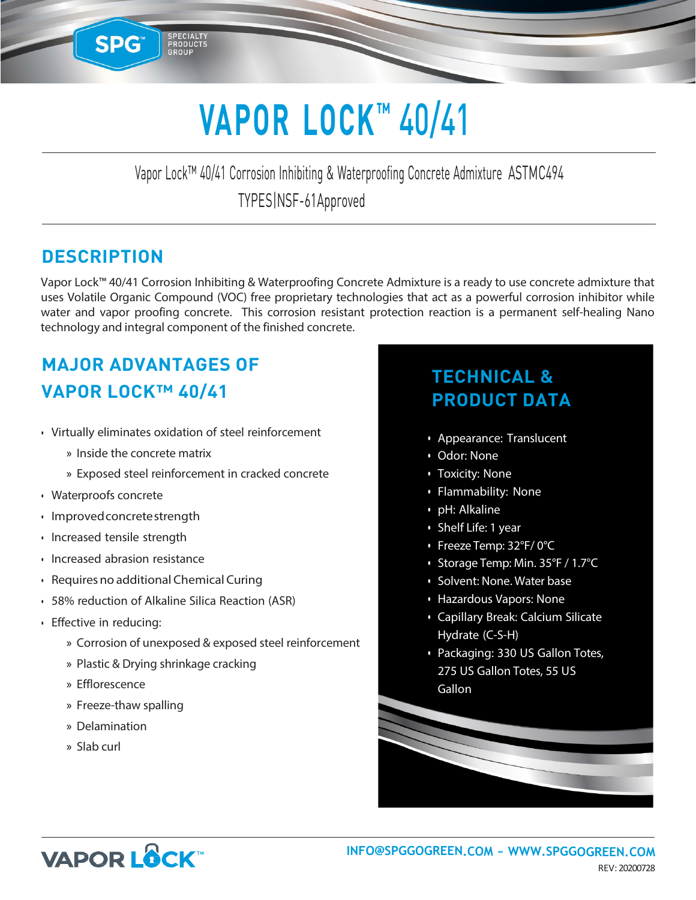# **VAPOR LOCK™** 40/41

Vapor Lock™ 40/41 Corrosion Inhibiting & Waterproofing Concrete Admixture ASTMC494 TYPES|NSF-61Approved

#### **DESCRIPTION**

**SPG** 

Vapor Lock™ 40/41 Corrosion Inhibiting & Waterproofing Concrete Admixture is a ready to use concrete admixture that uses Volatile Organic Compound (VOC) free proprietary technologies that act as a powerful corrosion inhibitor while water and vapor proofing concrete. This corrosion resistant protection reaction is a permanent self-healing Nano technology and integral component of the finished concrete.

## **MAJOR ADVANTAGES OF VAPOR LOCK™ 40/41**

**•** Virtually eliminates oxidation of steel reinforcement

SPECIALTY<br>PRODUCTS<br>GROUP

- » Inside the concrete matrix
- » Exposed steel reinforcement in cracked concrete
- **•** Waterproofs concrete
- **•** Improvedconcretestrength
- **•** Increased tensile strength
- **•** Increased abrasion resistance
- **•** Requiresno additional Chemical Curing
- **•** 58% reduction of Alkaline Silica Reaction (ASR)
- **•** Effective in reducing:
	- » Corrosion of unexposed & exposed steel reinforcement
	- » Plastic & Drying shrinkage cracking
	- » Efflorescence
	- » Freeze-thaw spalling
	- » Delamination
	- » Slab curl

## **TECHNICAL & PRODUCT DATA**

- Appearance: Translucent
- Odor: None
- Toxicity: None
- Flammability: None
- pH: Alkaline
- Shelf Life: 1 year
- Freeze Temp: 32°F/ 0°C
- Storage Temp: Min. 35°F / 1.7°C
- Solvent: None. Water base
- Hazardous Vapors: None
- Capillary Break: Calcium Silicate Hydrate (C-S-H)
- Packaging: 330 US Gallon Totes, 275 US Gallon Totes, 55 US **Gallon**